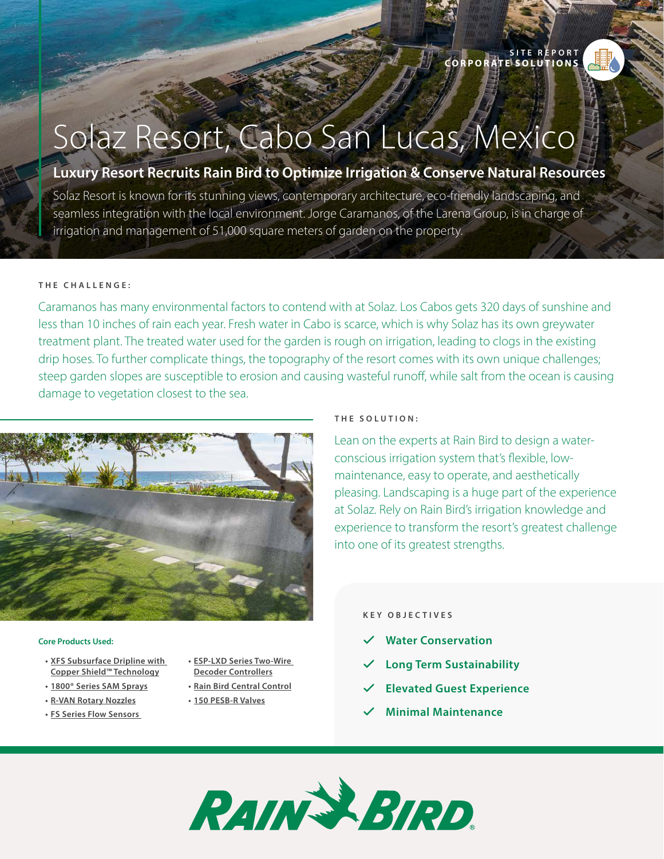

# Solaz Resort, Cabo San Lucas, Mexico

# **Luxury Resort Recruits Rain Bird to Optimize Irrigation & Conserve Natural Resources**

Solaz Resort is known for its stunning views, contemporary architecture, eco-friendly landscaping, and seamless integration with the local environment. Jorge Caramanos, of the Larena Group, is in charge of irrigation and management of 51,000 square meters of garden on the property.

#### **T H E C H A L L E N G E :**

Caramanos has many environmental factors to contend with at Solaz. Los Cabos gets 320 days of sunshine and less than 10 inches of rain each year. Fresh water in Cabo is scarce, which is why Solaz has its own greywater treatment plant. The treated water used for the garden is rough on irrigation, leading to clogs in the existing drip hoses. To further complicate things, the topography of the resort comes with its own unique challenges; steep garden slopes are susceptible to erosion and causing wasteful runoff, while salt from the ocean is causing damage to vegetation closest to the sea.



#### **Core Products Used:**

- **• [XFS Subsurface Dripline with](https://www.rainbird.com/node/2952)  [Copper Shield™ Technology](https://www.rainbird.com/node/2952)**
- **• [1800® Series SAM Sprays](https://www.rainbird.com/node/2871)**
- **• [R-VAN Rotary Nozzles](https://www.rainbird.com/node/3054)**
- **• [FS Series Flow Sensors](https://www.rainbird.com/node/2925)**
- **• [ESP-LXD Series Two-Wire](https://www.rainbird.com/node/2892)  [Decoder Controllers](https://www.rainbird.com/node/2892)**
- **• [Rain Bird Central Control](https://www.rainbird.com/node/10129)**
- **• [150 PESB-R Valves](https://www.rainbird.com/node/2794)**

#### **T H E S O L U T I O N :**

Lean on the experts at Rain Bird to design a waterconscious irrigation system that's flexible, lowmaintenance, easy to operate, and aesthetically pleasing. Landscaping is a huge part of the experience at Solaz. Rely on Rain Bird's irrigation knowledge and experience to transform the resort's greatest challenge into one of its greatest strengths.

#### **KEY OBJECTIVES**

- **Water Conservation**
- � **Long Term Sustainability**
- � **Elevated Guest Experience**
- � **Minimal Maintenance**